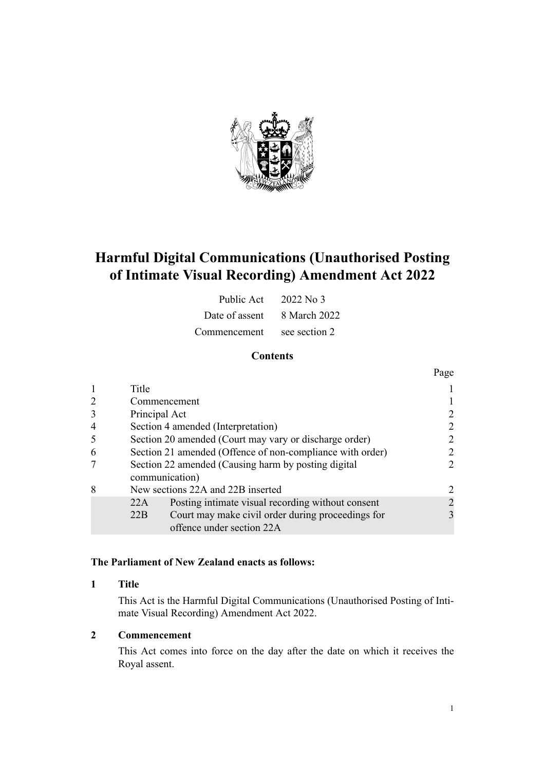

# **Harmful Digital Communications (Unauthorised Posting of Intimate Visual Recording) Amendment Act 2022**

| Public Act $2022$ No 3      |               |
|-----------------------------|---------------|
| Date of assent 8 March 2022 |               |
| Commencement                | see section 2 |

### **Contents**

|   |                                    |                                                                                | Page         |  |
|---|------------------------------------|--------------------------------------------------------------------------------|--------------|--|
|   | Title                              |                                                                                |              |  |
| 2 | Commencement                       |                                                                                |              |  |
| 3 | Principal Act                      |                                                                                |              |  |
|   | Section 4 amended (Interpretation) |                                                                                |              |  |
| 5 |                                    | Section 20 amended (Court may vary or discharge order)                         |              |  |
| 6 |                                    | Section 21 amended (Offence of non-compliance with order)                      |              |  |
|   |                                    | Section 22 amended (Causing harm by posting digital<br>communication)          |              |  |
| 8 |                                    | New sections 22A and 22B inserted                                              |              |  |
|   | 22A                                | Posting intimate visual recording without consent                              |              |  |
|   | 22B                                | Court may make civil order during proceedings for<br>offence under section 22A | $\mathbf{3}$ |  |

#### **The Parliament of New Zealand enacts as follows:**

#### **1 Title**

This Act is the Harmful Digital Communications (Unauthorised Posting of Inti‐ mate Visual Recording) Amendment Act 2022.

#### **2 Commencement**

This Act comes into force on the day after the date on which it receives the Royal assent.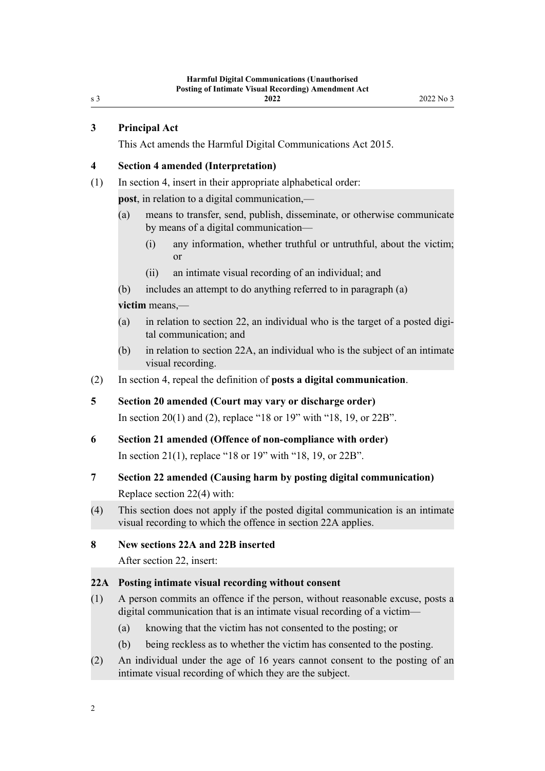<span id="page-1-0"></span>s 3

#### **3 Principal Act**

This Act amends the [Harmful Digital Communications Act 2015.](http://legislation.govt.nz/pdflink.aspx?id=DLM5711800)

#### **4 Section 4 amended (Interpretation)**

(1) In [section 4,](http://legislation.govt.nz/pdflink.aspx?id=DLM5711818) insert in their appropriate alphabetical order:

**post**, in relation to a digital communication,—

- (a) means to transfer, send, publish, disseminate, or otherwise communicate by means of a digital communication—
	- (i) any information, whether truthful or untruthful, about the victim; or
	- (ii) an intimate visual recording of an individual; and
- (b) includes an attempt to do anything referred to in paragraph (a)

#### **victim** means,—

- (a) in relation to section 22, an individual who is the target of a posted digital communication; and
- (b) in relation to section 22A, an individual who is the subject of an intimate visual recording.
- (2) In [section 4,](http://legislation.govt.nz/pdflink.aspx?id=DLM5711818) repeal the definition of **posts a digital communication**.
- **5 Section 20 amended (Court may vary or discharge order)** In [section 20\(1\) and \(2\),](http://legislation.govt.nz/pdflink.aspx?id=DLM6124414) replace "18 or 19" with "18, 19, or 22B".

## **6 Section 21 amended (Offence of non-compliance with order)** In [section 21\(1\)](http://legislation.govt.nz/pdflink.aspx?id=DLM5711855), replace "18 or 19" with "18, 19, or 22B".

- **7 Section 22 amended (Causing harm by posting digital communication)** Replace [section 22\(4\)](http://legislation.govt.nz/pdflink.aspx?id=DLM5711856) with:
- (4) This section does not apply if the posted digital communication is an intimate visual recording to which the offence in section 22A applies.

#### **8 New sections 22A and 22B inserted**

After [section 22](http://legislation.govt.nz/pdflink.aspx?id=DLM5711856), insert:

#### **22A Posting intimate visual recording without consent**

- (1) A person commits an offence if the person, without reasonable excuse, posts a digital communication that is an intimate visual recording of a victim—
	- (a) knowing that the victim has not consented to the posting; or
	- (b) being reckless as to whether the victim has consented to the posting.
- (2) An individual under the age of 16 years cannot consent to the posting of an intimate visual recording of which they are the subject.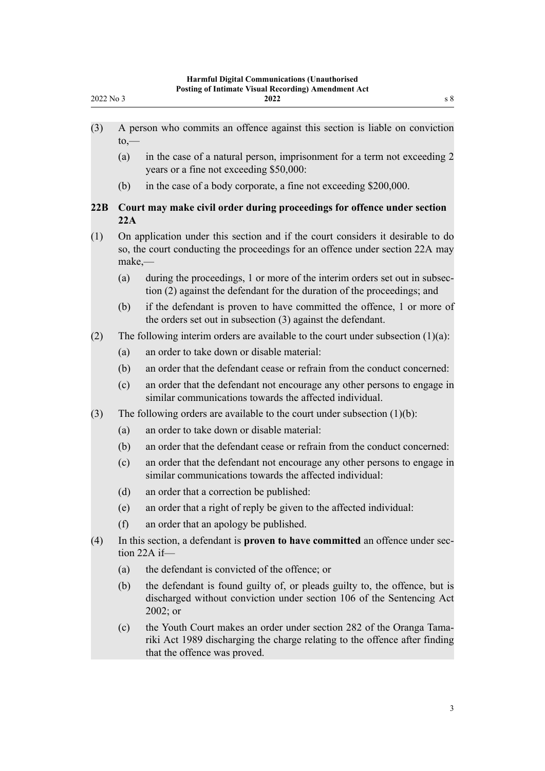<span id="page-2-0"></span>

| 2022 No 3 |                                                                                                                                                                               | <b>Posting of Intimate Visual Recording) Amendment Act</b><br>2022<br>s 8                                                                                                          |
|-----------|-------------------------------------------------------------------------------------------------------------------------------------------------------------------------------|------------------------------------------------------------------------------------------------------------------------------------------------------------------------------------|
| (3)       | $\mathsf{to},\!-$                                                                                                                                                             | A person who commits an offence against this section is liable on conviction                                                                                                       |
|           | (a)                                                                                                                                                                           | in the case of a natural person, imprisonment for a term not exceeding 2<br>years or a fine not exceeding \$50,000:                                                                |
|           | (b)                                                                                                                                                                           | in the case of a body corporate, a fine not exceeding \$200,000.                                                                                                                   |
| 22B       | 22A                                                                                                                                                                           | Court may make civil order during proceedings for offence under section                                                                                                            |
| (1)       | On application under this section and if the court considers it desirable to do<br>so, the court conducting the proceedings for an offence under section 22A may<br>$make, -$ |                                                                                                                                                                                    |
|           | (a)                                                                                                                                                                           | during the proceedings, 1 or more of the interim orders set out in subsec-<br>tion (2) against the defendant for the duration of the proceedings; and                              |
|           | (b)                                                                                                                                                                           | if the defendant is proven to have committed the offence, 1 or more of<br>the orders set out in subsection (3) against the defendant.                                              |
| (2)       | The following interim orders are available to the court under subsection $(1)(a)$ :                                                                                           |                                                                                                                                                                                    |
|           | (a)                                                                                                                                                                           | an order to take down or disable material:                                                                                                                                         |
|           | (b)                                                                                                                                                                           | an order that the defendant cease or refrain from the conduct concerned:                                                                                                           |
|           | (c)                                                                                                                                                                           | an order that the defendant not encourage any other persons to engage in<br>similar communications towards the affected individual.                                                |
| (3)       |                                                                                                                                                                               | The following orders are available to the court under subsection $(1)(b)$ :                                                                                                        |
|           | (a)                                                                                                                                                                           | an order to take down or disable material:                                                                                                                                         |
|           | (b)                                                                                                                                                                           | an order that the defendant cease or refrain from the conduct concerned:                                                                                                           |
|           | (c)                                                                                                                                                                           | an order that the defendant not encourage any other persons to engage in<br>similar communications towards the affected individual:                                                |
|           | (d)                                                                                                                                                                           | an order that a correction be published:                                                                                                                                           |
|           | (e)                                                                                                                                                                           | an order that a right of reply be given to the affected individual:                                                                                                                |
|           | (f)                                                                                                                                                                           | an order that an apology be published.                                                                                                                                             |
| (4)       | In this section, a defendant is <b>proven to have committed</b> an offence under sec-<br>tion $22A$ if-                                                                       |                                                                                                                                                                                    |
|           | (a)                                                                                                                                                                           | the defendant is convicted of the offence; or                                                                                                                                      |
|           | (b)                                                                                                                                                                           | the defendant is found guilty of, or pleads guilty to, the offence, but is<br>discharged without conviction under section 106 of the Sentencing Act<br>$2002$ ; or                 |
|           | (c)                                                                                                                                                                           | the Youth Court makes an order under section 282 of the Oranga Tama-<br>riki Act 1989 discharging the charge relating to the offence after finding<br>that the offence was proved. |